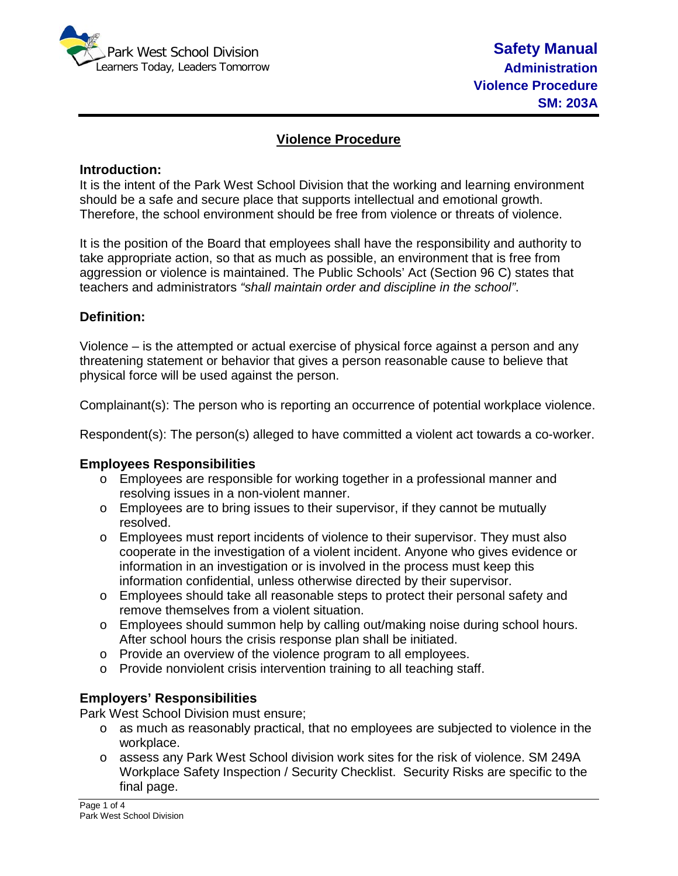

# **Violence Procedure**

#### **Introduction:**

It is the intent of the Park West School Division that the working and learning environment should be a safe and secure place that supports intellectual and emotional growth. Therefore, the school environment should be free from violence or threats of violence.

It is the position of the Board that employees shall have the responsibility and authority to take appropriate action, so that as much as possible, an environment that is free from aggression or violence is maintained. The Public Schools' Act (Section 96 C) states that teachers and administrators *"shall maintain order and discipline in the school"*.

## **Definition:**

Violence – is the attempted or actual exercise of physical force against a person and any threatening statement or behavior that gives a person reasonable cause to believe that physical force will be used against the person.

Complainant(s): The person who is reporting an occurrence of potential workplace violence.

Respondent(s): The person(s) alleged to have committed a violent act towards a co-worker.

#### **Employees Responsibilities**

- o Employees are responsible for working together in a professional manner and resolving issues in a non-violent manner.
- $\circ$  Employees are to bring issues to their supervisor, if they cannot be mutually resolved.
- $\circ$  Employees must report incidents of violence to their supervisor. They must also cooperate in the investigation of a violent incident. Anyone who gives evidence or information in an investigation or is involved in the process must keep this information confidential, unless otherwise directed by their supervisor.
- o Employees should take all reasonable steps to protect their personal safety and remove themselves from a violent situation.
- o Employees should summon help by calling out/making noise during school hours. After school hours the crisis response plan shall be initiated.
- o Provide an overview of the violence program to all employees.
- o Provide nonviolent crisis intervention training to all teaching staff.

#### **Employers' Responsibilities**

Park West School Division must ensure;

- o as much as reasonably practical, that no employees are subjected to violence in the workplace.
- o assess any Park West School division work sites for the risk of violence. SM 249A Workplace Safety Inspection / Security Checklist. Security Risks are specific to the final page.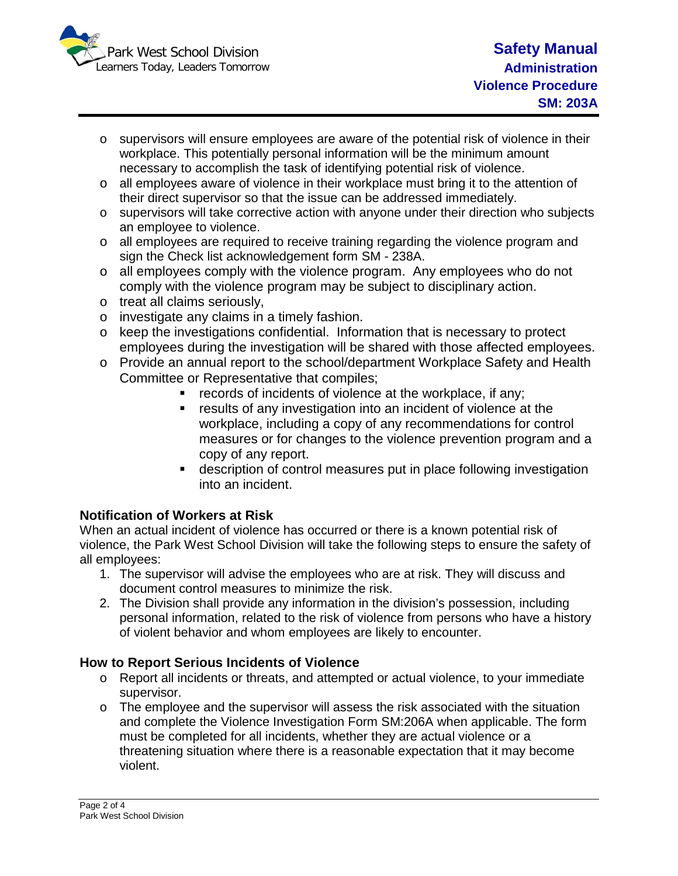

- $\circ$  supervisors will ensure employees are aware of the potential risk of violence in their workplace. This potentially personal information will be the minimum amount necessary to accomplish the task of identifying potential risk of violence.
- o all employees aware of violence in their workplace must bring it to the attention of their direct supervisor so that the issue can be addressed immediately.
- o supervisors will take corrective action with anyone under their direction who subjects an employee to violence.
- o all employees are required to receive training regarding the violence program and sign the Check list acknowledgement form SM - 238A.
- o all employees comply with the violence program. Any employees who do not comply with the violence program may be subject to disciplinary action.
- o treat all claims seriously,
- o investigate any claims in a timely fashion.
- o keep the investigations confidential. Information that is necessary to protect employees during the investigation will be shared with those affected employees.
- o Provide an annual report to the school/department Workplace Safety and Health Committee or Representative that compiles;
	- **•** records of incidents of violence at the workplace, if any;
	- results of any investigation into an incident of violence at the workplace, including a copy of any recommendations for control measures or for changes to the violence prevention program and a copy of any report.
	- description of control measures put in place following investigation into an incident.

# **Notification of Workers at Risk**

When an actual incident of violence has occurred or there is a known potential risk of violence, the Park West School Division will take the following steps to ensure the safety of all employees:

- 1. The supervisor will advise the employees who are at risk. They will discuss and document control measures to minimize the risk.
- 2. The Division shall provide any information in the division's possession, including personal information, related to the risk of violence from persons who have a history of violent behavior and whom employees are likely to encounter.

# **How to Report Serious Incidents of Violence**

- o Report all incidents or threats, and attempted or actual violence, to your immediate supervisor.
- o The employee and the supervisor will assess the risk associated with the situation and complete the Violence Investigation Form SM:206A when applicable. The form must be completed for all incidents, whether they are actual violence or a threatening situation where there is a reasonable expectation that it may become violent.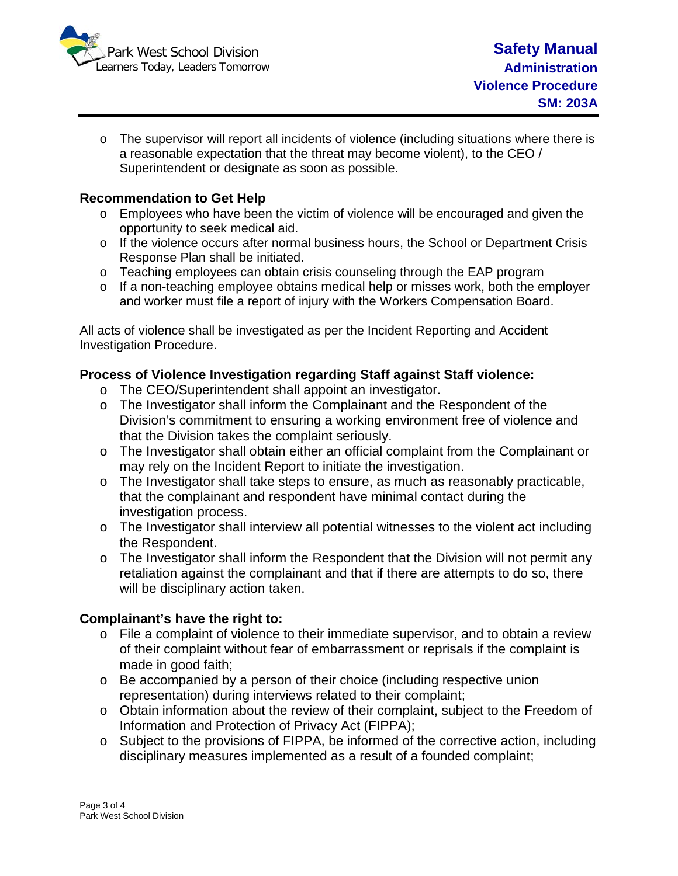

 $\circ$  The supervisor will report all incidents of violence (including situations where there is a reasonable expectation that the threat may become violent), to the CEO / Superintendent or designate as soon as possible.

## **Recommendation to Get Help**

- o Employees who have been the victim of violence will be encouraged and given the opportunity to seek medical aid.
- $\circ$  If the violence occurs after normal business hours, the School or Department Crisis Response Plan shall be initiated.
- o Teaching employees can obtain crisis counseling through the EAP program
- o If a non-teaching employee obtains medical help or misses work, both the employer and worker must file a report of injury with the Workers Compensation Board.

All acts of violence shall be investigated as per the Incident Reporting and Accident Investigation Procedure.

## **Process of Violence Investigation regarding Staff against Staff violence:**

- o The CEO/Superintendent shall appoint an investigator.
- o The Investigator shall inform the Complainant and the Respondent of the Division's commitment to ensuring a working environment free of violence and that the Division takes the complaint seriously.
- o The Investigator shall obtain either an official complaint from the Complainant or may rely on the Incident Report to initiate the investigation.
- o The Investigator shall take steps to ensure, as much as reasonably practicable, that the complainant and respondent have minimal contact during the investigation process.
- $\circ$  The Investigator shall interview all potential witnesses to the violent act including the Respondent.
- $\circ$  The Investigator shall inform the Respondent that the Division will not permit any retaliation against the complainant and that if there are attempts to do so, there will be disciplinary action taken.

## **Complainant's have the right to:**

- o File a complaint of violence to their immediate supervisor, and to obtain a review of their complaint without fear of embarrassment or reprisals if the complaint is made in good faith;
- o Be accompanied by a person of their choice (including respective union representation) during interviews related to their complaint;
- $\circ$  Obtain information about the review of their complaint, subject to the Freedom of Information and Protection of Privacy Act (FIPPA);
- o Subject to the provisions of FIPPA, be informed of the corrective action, including disciplinary measures implemented as a result of a founded complaint;